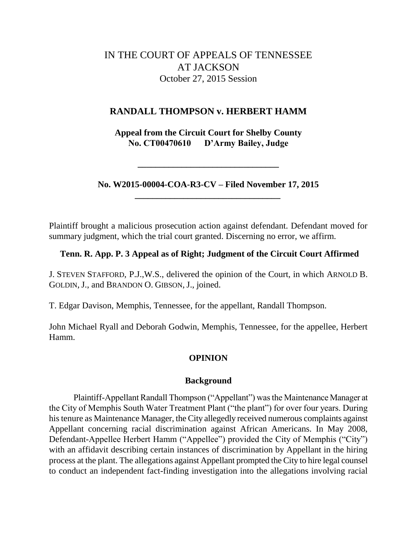# IN THE COURT OF APPEALS OF TENNESSEE AT JACKSON October 27, 2015 Session

## **RANDALL THOMPSON v. HERBERT HAMM**

**Appeal from the Circuit Court for Shelby County No. CT00470610 D'Army Bailey, Judge**

**No. W2015-00004-COA-R3-CV – Filed November 17, 2015 \_\_\_\_\_\_\_\_\_\_\_\_\_\_\_\_\_\_\_\_\_\_\_\_\_\_\_\_\_\_\_\_\_**

**\_\_\_\_\_\_\_\_\_\_\_\_\_\_\_\_\_\_\_\_\_\_\_\_\_\_\_\_\_\_\_\_**

Plaintiff brought a malicious prosecution action against defendant. Defendant moved for summary judgment, which the trial court granted. Discerning no error, we affirm.

## **Tenn. R. App. P. 3 Appeal as of Right; Judgment of the Circuit Court Affirmed**

J. STEVEN STAFFORD, P.J.,W.S., delivered the opinion of the Court, in which ARNOLD B. GOLDIN, J., and BRANDON O. GIBSON, J., joined.

T. Edgar Davison, Memphis, Tennessee, for the appellant, Randall Thompson.

John Michael Ryall and Deborah Godwin, Memphis, Tennessee, for the appellee, Herbert Hamm.

## **OPINION**

#### **Background**

Plaintiff-Appellant Randall Thompson ("Appellant") was the Maintenance Manager at the City of Memphis South Water Treatment Plant ("the plant") for over four years. During his tenure as Maintenance Manager, the City allegedly received numerous complaints against Appellant concerning racial discrimination against African Americans. In May 2008, Defendant-Appellee Herbert Hamm ("Appellee") provided the City of Memphis ("City") with an affidavit describing certain instances of discrimination by Appellant in the hiring process at the plant. The allegations against Appellant prompted the City to hire legal counsel to conduct an independent fact-finding investigation into the allegations involving racial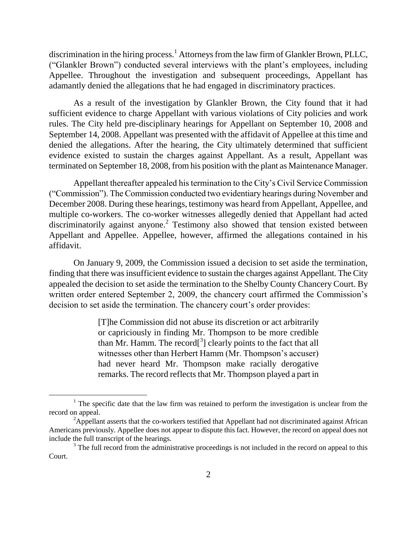discrimination in the hiring process.<sup>1</sup> Attorneys from the law firm of Glankler Brown, PLLC, ("Glankler Brown") conducted several interviews with the plant's employees, including Appellee. Throughout the investigation and subsequent proceedings, Appellant has adamantly denied the allegations that he had engaged in discriminatory practices.

As a result of the investigation by Glankler Brown, the City found that it had sufficient evidence to charge Appellant with various violations of City policies and work rules. The City held pre-disciplinary hearings for Appellant on September 10, 2008 and September 14, 2008. Appellant was presented with the affidavit of Appellee at this time and denied the allegations. After the hearing, the City ultimately determined that sufficient evidence existed to sustain the charges against Appellant. As a result, Appellant was terminated on September 18, 2008, from his position with the plant as Maintenance Manager.

Appellant thereafter appealed his termination to the City's Civil Service Commission (―Commission‖). The Commission conducted two evidentiary hearings during November and December 2008. During these hearings, testimony was heard from Appellant, Appellee, and multiple co-workers. The co-worker witnesses allegedly denied that Appellant had acted discriminatorily against anyone.<sup>2</sup> Testimony also showed that tension existed between Appellant and Appellee. Appellee, however, affirmed the allegations contained in his affidavit.

On January 9, 2009, the Commission issued a decision to set aside the termination, finding that there was insufficient evidence to sustain the charges against Appellant. The City appealed the decision to set aside the termination to the Shelby County Chancery Court. By written order entered September 2, 2009, the chancery court affirmed the Commission's decision to set aside the termination. The chancery court's order provides:

> [T]he Commission did not abuse its discretion or act arbitrarily or capriciously in finding Mr. Thompson to be more credible than Mr. Hamm. The record<sup>[3</sup>] clearly points to the fact that all witnesses other than Herbert Hamm (Mr. Thompson's accuser) had never heard Mr. Thompson make racially derogative remarks. The record reflects that Mr. Thompson played a part in

 $\overline{a}$ 

 $1$  The specific date that the law firm was retained to perform the investigation is unclear from the record on appeal.

 $2A$ ppellant asserts that the co-workers testified that Appellant had not discriminated against African Americans previously. Appellee does not appear to dispute this fact. However, the record on appeal does not include the full transcript of the hearings.

 $3$  The full record from the administrative proceedings is not included in the record on appeal to this Court.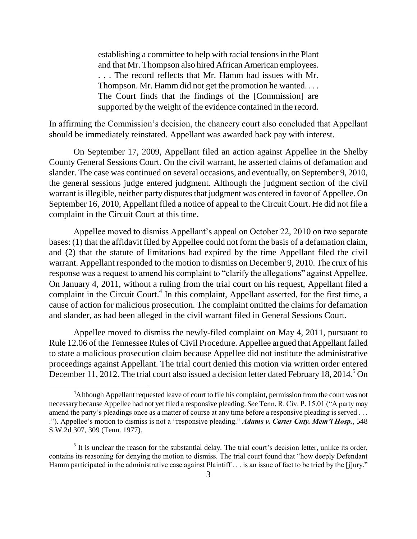establishing a committee to help with racial tensions in the Plant and that Mr. Thompson also hired African American employees. . . . The record reflects that Mr. Hamm had issues with Mr. Thompson. Mr. Hamm did not get the promotion he wanted. . . . The Court finds that the findings of the [Commission] are supported by the weight of the evidence contained in the record.

In affirming the Commission's decision, the chancery court also concluded that Appellant should be immediately reinstated. Appellant was awarded back pay with interest.

On September 17, 2009, Appellant filed an action against Appellee in the Shelby County General Sessions Court. On the civil warrant, he asserted claims of defamation and slander. The case was continued on several occasions, and eventually, on September 9, 2010, the general sessions judge entered judgment. Although the judgment section of the civil warrant is illegible, neither party disputes that judgment was entered in favor of Appellee. On September 16, 2010, Appellant filed a notice of appeal to the Circuit Court. He did not file a complaint in the Circuit Court at this time.

Appellee moved to dismiss Appellant's appeal on October 22, 2010 on two separate bases: (1) that the affidavit filed by Appellee could not form the basis of a defamation claim, and (2) that the statute of limitations had expired by the time Appellant filed the civil warrant. Appellant responded to the motion to dismiss on December 9, 2010. The crux of his response was a request to amend his complaint to "clarify the allegations" against Appellee. On January 4, 2011, without a ruling from the trial court on his request, Appellant filed a complaint in the Circuit Court.<sup>4</sup> In this complaint, Appellant asserted, for the first time, a cause of action for malicious prosecution. The complaint omitted the claims for defamation and slander, as had been alleged in the civil warrant filed in General Sessions Court.

Appellee moved to dismiss the newly-filed complaint on May 4, 2011, pursuant to Rule 12.06 of the Tennessee Rules of Civil Procedure. Appellee argued that Appellant failed to state a malicious prosecution claim because Appellee did not institute the administrative proceedings against Appellant. The trial court denied this motion via written order entered December 11, 2012. The trial court also issued a decision letter dated February 18, 2014.<sup>5</sup> On

<sup>4</sup>Although Appellant requested leave of court to file his complaint, permission from the court was not necessary because Appellee had not yet filed a responsive pleading. *See* Tenn. R. Civ. P. 15.01 ("A party may amend the party's pleadings once as a matter of course at any time before a responsive pleading is served . . . ."). Appellee's motion to dismiss is not a "responsive pleading." *Adams v. Carter Cnty. Mem'l Hosp.*, 548 S.W.2d 307, 309 (Tenn. 1977).

 $<sup>5</sup>$  It is unclear the reason for the substantial delay. The trial court's decision letter, unlike its order,</sup> contains its reasoning for denying the motion to dismiss. The trial court found that "how deeply Defendant" Hamm participated in the administrative case against Plaintiff . . . is an issue of fact to be tried by the [j]ury."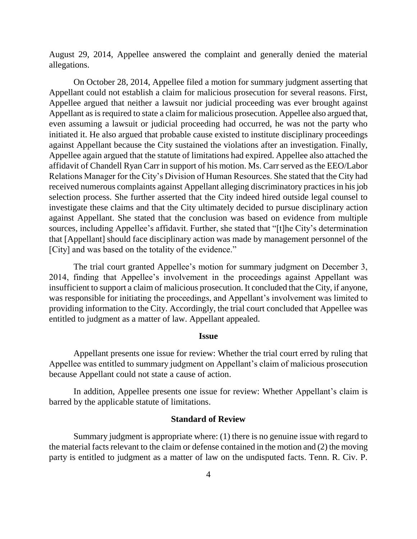August 29, 2014, Appellee answered the complaint and generally denied the material allegations.

On October 28, 2014, Appellee filed a motion for summary judgment asserting that Appellant could not establish a claim for malicious prosecution for several reasons. First, Appellee argued that neither a lawsuit nor judicial proceeding was ever brought against Appellant as is required to state a claim for malicious prosecution. Appellee also argued that, even assuming a lawsuit or judicial proceeding had occurred, he was not the party who initiated it. He also argued that probable cause existed to institute disciplinary proceedings against Appellant because the City sustained the violations after an investigation. Finally, Appellee again argued that the statute of limitations had expired. Appellee also attached the affidavit of Chandell Ryan Carr in support of his motion. Ms. Carr served as the EEO/Labor Relations Manager for the City's Division of Human Resources. She stated that the City had received numerous complaints against Appellant alleging discriminatory practices in his job selection process. She further asserted that the City indeed hired outside legal counsel to investigate these claims and that the City ultimately decided to pursue disciplinary action against Appellant. She stated that the conclusion was based on evidence from multiple sources, including Appellee's affidavit. Further, she stated that "[t]he City's determination that [Appellant] should face disciplinary action was made by management personnel of the [City] and was based on the totality of the evidence."

The trial court granted Appellee's motion for summary judgment on December 3, 2014, finding that Appellee's involvement in the proceedings against Appellant was insufficient to support a claim of malicious prosecution. It concluded that the City, if anyone, was responsible for initiating the proceedings, and Appellant's involvement was limited to providing information to the City. Accordingly, the trial court concluded that Appellee was entitled to judgment as a matter of law. Appellant appealed.

#### **Issue**

Appellant presents one issue for review: Whether the trial court erred by ruling that Appellee was entitled to summary judgment on Appellant's claim of malicious prosecution because Appellant could not state a cause of action.

In addition, Appellee presents one issue for review: Whether Appellant's claim is barred by the applicable statute of limitations.

#### **Standard of Review**

Summary judgment is appropriate where: (1) there is no genuine issue with regard to the material facts relevant to the claim or defense contained in the motion and (2) the moving party is entitled to judgment as a matter of law on the undisputed facts. Tenn. R. Civ. P.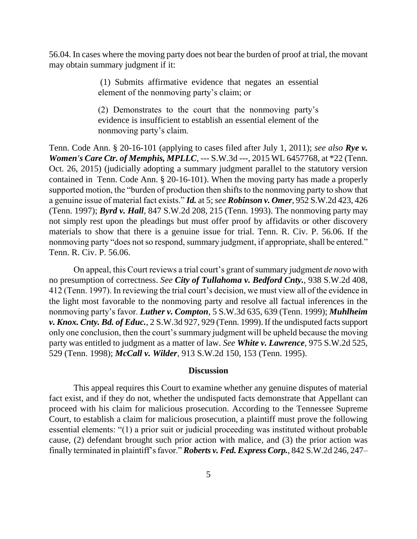56.04. In cases where the moving party does not bear the burden of proof at trial, the movant may obtain summary judgment if it:

> (1) Submits affirmative evidence that negates an essential element of the nonmoving party's claim; or

> (2) Demonstrates to the court that the nonmoving party's evidence is insufficient to establish an essential element of the nonmoving party's claim.

Tenn. Code Ann. § 20-16-101 (applying to cases filed after July 1, 2011); *see also Rye v. Women's Care Ctr. of Memphis, MPLLC*, --- S.W.3d ---, 2015 WL 6457768, at \*22 (Tenn. Oct. 26, 2015) (judicially adopting a summary judgment parallel to the statutory version contained in Tenn. Code Ann. § 20-16-101). When the moving party has made a properly supported motion, the "burden of production then shifts to the nonmoving party to show that a genuine issue of material fact exists.‖ *Id.* at 5; *see Robinson v. Omer*, 952 S.W.2d 423, 426 (Tenn. 1997); *Byrd v. Hall*, 847 S.W.2d 208, 215 (Tenn. 1993). The nonmoving party may not simply rest upon the pleadings but must offer proof by affidavits or other discovery materials to show that there is a genuine issue for trial. Tenn. R. Civ. P. 56.06. If the nonmoving party "does not so respond, summary judgment, if appropriate, shall be entered." Tenn. R. Civ. P. 56.06.

On appeal, this Court reviews a trial court's grant of summary judgment *de novo* with no presumption of correctness. *See City of Tullahoma v. Bedford Cnty.*, 938 S.W.2d 408, 412 (Tenn. 1997). In reviewing the trial court's decision, we must view all of the evidence in the light most favorable to the nonmoving party and resolve all factual inferences in the nonmoving party's favor. *Luther v. Compton*, 5 S.W.3d 635, 639 (Tenn. 1999); *Muhlheim v. Knox. Cnty. Bd. of Educ.*, 2 S.W.3d 927, 929 (Tenn. 1999). If the undisputed facts support only one conclusion, then the court's summary judgment will be upheld because the moving party was entitled to judgment as a matter of law. *See White v. Lawrence*, 975 S.W.2d 525, 529 (Tenn. 1998); *McCall v. Wilder*, 913 S.W.2d 150, 153 (Tenn. 1995).

#### **Discussion**

This appeal requires this Court to examine whether any genuine disputes of material fact exist, and if they do not, whether the undisputed facts demonstrate that Appellant can proceed with his claim for malicious prosecution. According to the Tennessee Supreme Court, to establish a claim for malicious prosecution, a plaintiff must prove the following essential elements: "(1) a prior suit or judicial proceeding was instituted without probable cause, (2) defendant brought such prior action with malice, and (3) the prior action was finally terminated in plaintiff's favor." **Roberts v. Fed. Express Corp.**, 842 S.W.2d 246, 247–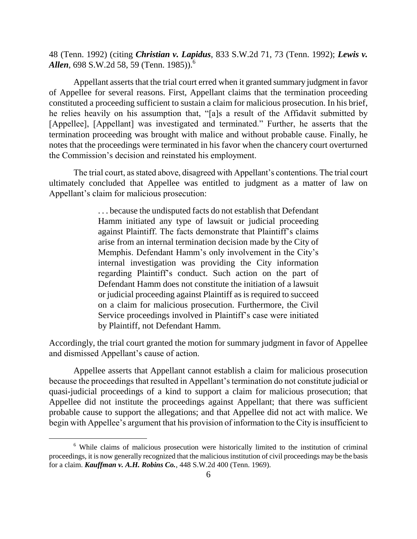48 (Tenn. 1992) (citing *Christian v. Lapidus*, 833 S.W.2d 71, 73 (Tenn. 1992); *Lewis v. Allen*, 698 S.W.2d 58, 59 (Tenn. 1985)).<sup>6</sup>

Appellant asserts that the trial court erred when it granted summary judgment in favor of Appellee for several reasons. First, Appellant claims that the termination proceeding constituted a proceeding sufficient to sustain a claim for malicious prosecution. In his brief, he relies heavily on his assumption that, "[a]s a result of the Affidavit submitted by [Appellee], [Appellant] was investigated and terminated." Further, he asserts that the termination proceeding was brought with malice and without probable cause. Finally, he notes that the proceedings were terminated in his favor when the chancery court overturned the Commission's decision and reinstated his employment.

The trial court, as stated above, disagreed with Appellant's contentions. The trial court ultimately concluded that Appellee was entitled to judgment as a matter of law on Appellant's claim for malicious prosecution:

> . . . because the undisputed facts do not establish that Defendant Hamm initiated any type of lawsuit or judicial proceeding against Plaintiff. The facts demonstrate that Plaintiff's claims arise from an internal termination decision made by the City of Memphis. Defendant Hamm's only involvement in the City's internal investigation was providing the City information regarding Plaintiff's conduct. Such action on the part of Defendant Hamm does not constitute the initiation of a lawsuit or judicial proceeding against Plaintiff as is required to succeed on a claim for malicious prosecution. Furthermore, the Civil Service proceedings involved in Plaintiff's case were initiated by Plaintiff, not Defendant Hamm.

Accordingly, the trial court granted the motion for summary judgment in favor of Appellee and dismissed Appellant's cause of action.

Appellee asserts that Appellant cannot establish a claim for malicious prosecution because the proceedings that resulted in Appellant's termination do not constitute judicial or quasi-judicial proceedings of a kind to support a claim for malicious prosecution; that Appellee did not institute the proceedings against Appellant; that there was sufficient probable cause to support the allegations; and that Appellee did not act with malice. We begin with Appellee's argument that his provision of information to the City is insufficient to

 $\overline{a}$ 

 $6\text{ While claims of malicious prosecution were historically limited to the institution of criminal.}$ proceedings, it is now generally recognized that the malicious institution of civil proceedings may be the basis for a claim. *Kauffman v. A.H. Robins Co.*, 448 S.W.2d 400 (Tenn. 1969).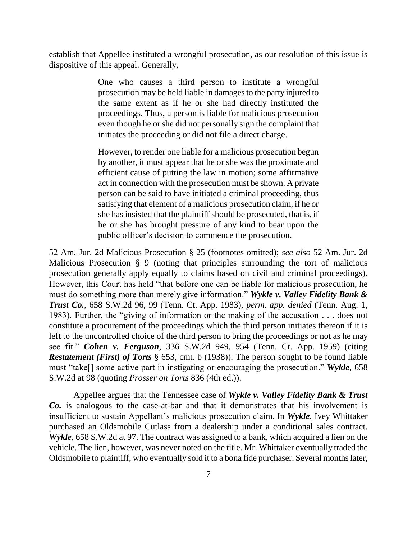establish that Appellee instituted a wrongful prosecution, as our resolution of this issue is dispositive of this appeal. Generally,

> One who causes a third person to institute a wrongful prosecution may be held liable in damages to the party injured to the same extent as if he or she had directly instituted the proceedings. Thus, a person is liable for malicious prosecution even though he or she did not personally sign the complaint that initiates the proceeding or did not file a direct charge.

> However, to render one liable for a malicious prosecution begun by another, it must appear that he or she was the proximate and efficient cause of putting the law in motion; some affirmative act in connection with the prosecution must be shown. A private person can be said to have initiated a criminal proceeding, thus satisfying that element of a malicious prosecution claim, if he or she has insisted that the plaintiff should be prosecuted, that is, if he or she has brought pressure of any kind to bear upon the public officer's decision to commence the prosecution.

52 Am. Jur. 2d Malicious Prosecution § 25 (footnotes omitted); *see also* 52 Am. Jur. 2d Malicious Prosecution § 9 (noting that principles surrounding the tort of malicious prosecution generally apply equally to claims based on civil and criminal proceedings). However, this Court has held "that before one can be liable for malicious prosecution, he must do something more than merely give information." Wykle v. Valley Fidelity Bank & *Trust Co.*, 658 S.W.2d 96, 99 (Tenn. Ct. App. 1983), *perm. app. denied* (Tenn. Aug. 1, 1983). Further, the "giving of information or the making of the accusation  $\dots$  does not constitute a procurement of the proceedings which the third person initiates thereon if it is left to the uncontrolled choice of the third person to bring the proceedings or not as he may see fit.‖ *Cohen v. Ferguson*, 336 S.W.2d 949, 954 (Tenn. Ct. App. 1959) (citing *Restatement (First) of Torts* § 653, cmt. b (1938)). The person sought to be found liable must "take<sup>[]</sup> some active part in instigating or encouraging the prosecution." *Wykle*, 658 S.W.2d at 98 (quoting *Prosser on Torts* 836 (4th ed.)).

Appellee argues that the Tennessee case of *Wykle v. Valley Fidelity Bank & Trust Co.* is analogous to the case-at-bar and that it demonstrates that his involvement is insufficient to sustain Appellant's malicious prosecution claim. In *Wykle*, Ivey Whittaker purchased an Oldsmobile Cutlass from a dealership under a conditional sales contract. *Wykle*, 658 S.W.2d at 97. The contract was assigned to a bank, which acquired a lien on the vehicle. The lien, however, was never noted on the title. Mr. Whittaker eventually traded the Oldsmobile to plaintiff, who eventually sold it to a bona fide purchaser. Several months later,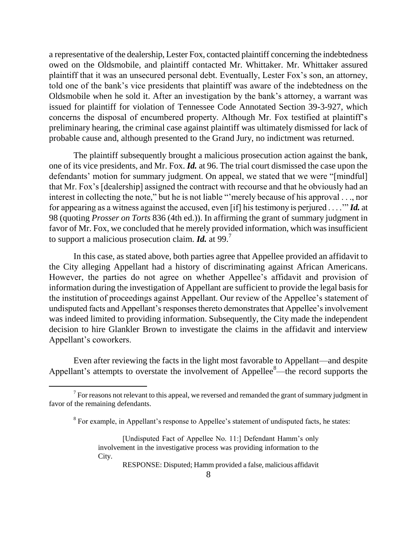a representative of the dealership, Lester Fox, contacted plaintiff concerning the indebtedness owed on the Oldsmobile, and plaintiff contacted Mr. Whittaker. Mr. Whittaker assured plaintiff that it was an unsecured personal debt. Eventually, Lester Fox's son, an attorney, told one of the bank's vice presidents that plaintiff was aware of the indebtedness on the Oldsmobile when he sold it. After an investigation by the bank's attorney, a warrant was issued for plaintiff for violation of Tennessee Code Annotated Section 39-3-927, which concerns the disposal of encumbered property. Although Mr. Fox testified at plaintiff's preliminary hearing, the criminal case against plaintiff was ultimately dismissed for lack of probable cause and, although presented to the Grand Jury, no indictment was returned.

The plaintiff subsequently brought a malicious prosecution action against the bank, one of its vice presidents, and Mr. Fox. *Id.* at 96. The trial court dismissed the case upon the defendants' motion for summary judgment. On appeal, we stated that we were "[mindful] that Mr. Fox's [dealership] assigned the contract with recourse and that he obviously had an interest in collecting the note," but he is not liable "merely because of his approval . . ., nor for appearing as a witness against the accused, even [if] his testimony is perjured  $\dots$ " *Id.* at 98 (quoting *Prosser on Torts* 836 (4th ed.)). In affirming the grant of summary judgment in favor of Mr. Fox, we concluded that he merely provided information, which was insufficient to support a malicious prosecution claim. *Id.* at 99.<sup>7</sup>

In this case, as stated above, both parties agree that Appellee provided an affidavit to the City alleging Appellant had a history of discriminating against African Americans. However, the parties do not agree on whether Appellee's affidavit and provision of information during the investigation of Appellant are sufficient to provide the legal basis for the institution of proceedings against Appellant. Our review of the Appellee's statement of undisputed facts and Appellant's responses thereto demonstrates that Appellee's involvement was indeed limited to providing information. Subsequently, the City made the independent decision to hire Glankler Brown to investigate the claims in the affidavit and interview Appellant's coworkers.

Even after reviewing the facts in the light most favorable to Appellant—and despite Appellant's attempts to overstate the involvement of Appellee<sup>8</sup>—the record supports the

 $\overline{a}$ 

RESPONSE: Disputed; Hamm provided a false, malicious affidavit

 $7$  For reasons not relevant to this appeal, we reversed and remanded the grant of summary judgment in favor of the remaining defendants.

 $8$  For example, in Appellant's response to Appellee's statement of undisputed facts, he states:

<sup>[</sup>Undisputed Fact of Appellee No. 11:] Defendant Hamm's only involvement in the investigative process was providing information to the City.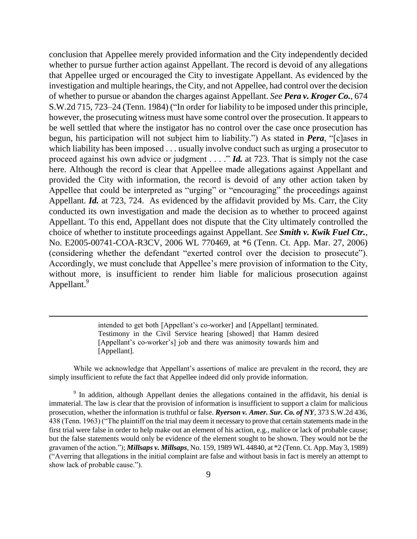conclusion that Appellee merely provided information and the City independently decided whether to pursue further action against Appellant. The record is devoid of any allegations that Appellee urged or encouraged the City to investigate Appellant. As evidenced by the investigation and multiple hearings, the City, and not Appellee, had control over the decision of whether to pursue or abandon the charges against Appellant. *See Pera v. Kroger Co.*, 674 S.W.2d 715, 723–24 (Tenn. 1984) ("In order for liability to be imposed under this principle, however, the prosecuting witness must have some control over the prosecution. It appears to be well settled that where the instigator has no control over the case once prosecution has begun, his participation will not subject him to liability.") As stated in *Pera*, "[c]ases in which liability has been imposed . . . usually involve conduct such as urging a prosecutor to proceed against his own advice or judgment  $\ldots$  "*Id.* at 723. That is simply not the case here. Although the record is clear that Appellee made allegations against Appellant and provided the City with information, the record is devoid of any other action taken by Appellee that could be interpreted as "urging" or "encouraging" the proceedings against Appellant. *Id.* at 723, 724. As evidenced by the affidavit provided by Ms. Carr, the City conducted its own investigation and made the decision as to whether to proceed against Appellant. To this end, Appellant does not dispute that the City ultimately controlled the choice of whether to institute proceedings against Appellant. *See Smith v. Kwik Fuel Ctr.*, No. E2005-00741-COA-R3CV, 2006 WL 770469, at \*6 (Tenn. Ct. App. Mar. 27, 2006) (considering whether the defendant "exerted control over the decision to prosecute"). Accordingly, we must conclude that Appellee's mere provision of information to the City, without more, is insufficient to render him liable for malicious prosecution against Appellant.<sup>9</sup>

> intended to get both [Appellant's co-worker] and [Appellant] terminated. Testimony in the Civil Service hearing [showed] that Hamm desired [Appellant's co-worker's] job and there was animosity towards him and [Appellant].

 $\overline{a}$ 

While we acknowledge that Appellant's assertions of malice are prevalent in the record, they are simply insufficient to refute the fact that Appellee indeed did only provide information.

<sup>9</sup> In addition, although Appellant denies the allegations contained in the affidavit, his denial is immaterial. The law is clear that the provision of information is insufficient to support a claim for malicious prosecution, whether the information is truthful or false. *Ryerson v. Amer. Sur. Co. of NY*, 373 S.W.2d 436, 438 (Tenn. 1963) ("The plaintiff on the trial may deem it necessary to prove that certain statements made in the first trial were false in order to help make out an element of his action, e.g., malice or lack of probable cause; but the false statements would only be evidence of the element sought to be shown. They would not be the gravamen of the action.‖); *Millsaps v. Millsaps*, No. 159, 1989 WL 44840, at \*2 (Tenn. Ct. App. May 3, 1989) (―Averring that allegations in the initial complaint are false and without basis in fact is merely an attempt to show lack of probable cause.").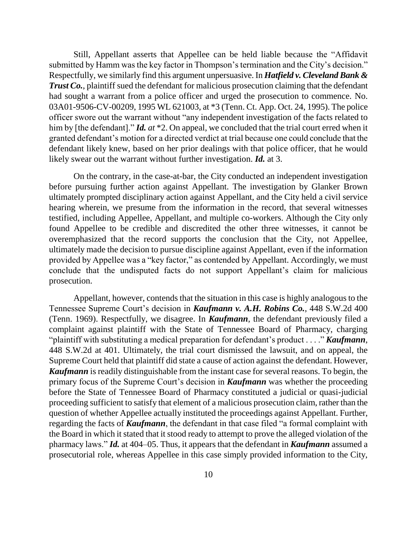Still, Appellant asserts that Appellee can be held liable because the "Affidavit" submitted by Hamm was the key factor in Thompson's termination and the City's decision." Respectfully, we similarly find this argument unpersuasive. In *Hatfield v. Cleveland Bank & Trust Co.*, plaintiff sued the defendant for malicious prosecution claiming that the defendant had sought a warrant from a police officer and urged the prosecution to commence. No. 03A01-9506-CV-00209, 1995 WL 621003, at \*3 (Tenn. Ct. App. Oct. 24, 1995). The police officer swore out the warrant without "any independent investigation of the facts related to him by [the defendant]." *Id. at* \*2. On appeal, we concluded that the trial court erred when it granted defendant's motion for a directed verdict at trial because one could conclude that the defendant likely knew, based on her prior dealings with that police officer, that he would likely swear out the warrant without further investigation. *Id.* at 3.

On the contrary, in the case-at-bar, the City conducted an independent investigation before pursuing further action against Appellant. The investigation by Glanker Brown ultimately prompted disciplinary action against Appellant, and the City held a civil service hearing wherein, we presume from the information in the record, that several witnesses testified, including Appellee, Appellant, and multiple co-workers. Although the City only found Appellee to be credible and discredited the other three witnesses, it cannot be overemphasized that the record supports the conclusion that the City, not Appellee, ultimately made the decision to pursue discipline against Appellant, even if the information provided by Appellee was a "key factor," as contended by Appellant. Accordingly, we must conclude that the undisputed facts do not support Appellant's claim for malicious prosecution.

Appellant, however, contends that the situation in this case is highly analogous to the Tennessee Supreme Court's decision in *Kaufmann v. A.H. Robins Co.*, 448 S.W.2d 400 (Tenn. 1969). Respectfully, we disagree. In *Kaufmann*, the defendant previously filed a complaint against plaintiff with the State of Tennessee Board of Pharmacy, charging "plaintiff with substituting a medical preparation for defendant's product . . . . " *Kaufmann*, 448 S.W.2d at 401. Ultimately, the trial court dismissed the lawsuit, and on appeal, the Supreme Court held that plaintiff did state a cause of action against the defendant. However, *Kaufmann* is readily distinguishable from the instant case for several reasons. To begin, the primary focus of the Supreme Court's decision in *Kaufmann* was whether the proceeding before the State of Tennessee Board of Pharmacy constituted a judicial or quasi-judicial proceeding sufficient to satisfy that element of a malicious prosecution claim, rather than the question of whether Appellee actually instituted the proceedings against Appellant. Further, regarding the facts of *Kaufmann*, the defendant in that case filed "a formal complaint with the Board in which it stated that it stood ready to attempt to prove the alleged violation of the pharmacy laws.‖ *Id.* at 404–05. Thus, it appears that the defendant in *Kaufmann* assumed a prosecutorial role, whereas Appellee in this case simply provided information to the City,